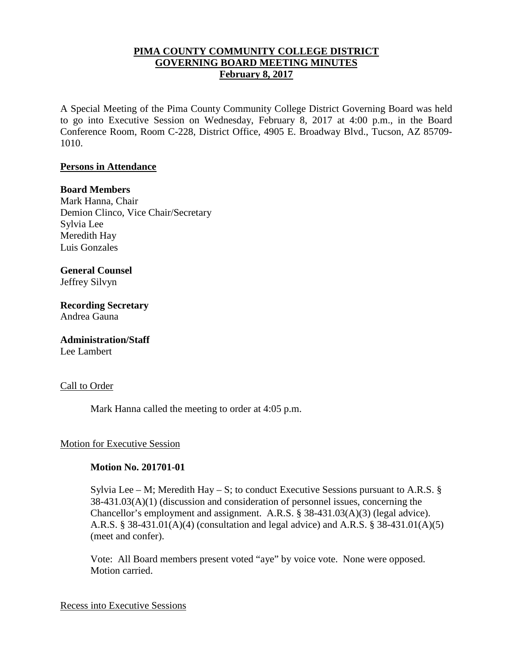## **PIMA COUNTY COMMUNITY COLLEGE DISTRICT GOVERNING BOARD MEETING MINUTES February 8, 2017**

A Special Meeting of the Pima County Community College District Governing Board was held to go into Executive Session on Wednesday, February 8, 2017 at 4:00 p.m., in the Board Conference Room, Room C-228, District Office, 4905 E. Broadway Blvd., Tucson, AZ 85709- 1010.

### **Persons in Attendance**

### **Board Members**

Mark Hanna, Chair Demion Clinco, Vice Chair/Secretary Sylvia Lee Meredith Hay Luis Gonzales

# **General Counsel**

Jeffrey Silvyn

**Recording Secretary** Andrea Gauna

# **Administration/Staff**

Lee Lambert

### Call to Order

Mark Hanna called the meeting to order at 4:05 p.m.

### Motion for Executive Session

### **Motion No. 201701-01**

Sylvia Lee – M; Meredith Hay – S; to conduct Executive Sessions pursuant to A.R.S.  $\S$ 38-431.03(A)(1) (discussion and consideration of personnel issues, concerning the Chancellor's employment and assignment. A.R.S. § 38-431.03(A)(3) (legal advice). A.R.S. § 38-431.01(A)(4) (consultation and legal advice) and A.R.S. § 38-431.01(A)(5) (meet and confer).

Vote: All Board members present voted "aye" by voice vote. None were opposed. Motion carried.

#### Recess into Executive Sessions